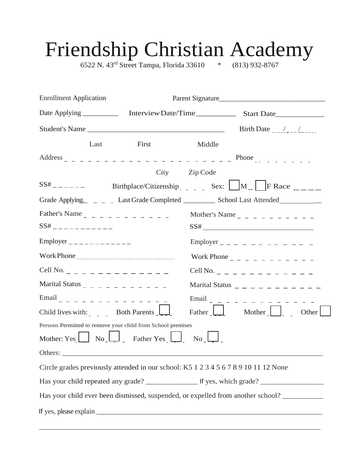# Friendship Christian Academy

6522 N. 43rd Street Tampa, Florida 33610 \* (813) 932-8767

| <b>Enrollment Application</b> |      |                                                                                     |                  | Parent Signature                                                                           |
|-------------------------------|------|-------------------------------------------------------------------------------------|------------------|--------------------------------------------------------------------------------------------|
|                               |      |                                                                                     |                  |                                                                                            |
|                               |      | Student's Name                                                                      |                  |                                                                                            |
|                               | Last | First                                                                               | Middle           |                                                                                            |
|                               |      |                                                                                     |                  |                                                                                            |
|                               |      |                                                                                     | City Zip Code    |                                                                                            |
| $SS#$ _ _ _ _ _ _             |      |                                                                                     |                  | Birthplace/Citizenship Sex: $\Box M$ F Race $\Box$                                         |
|                               |      |                                                                                     |                  | Grade Applying, _ _ _ _ Last Grade Completed _ _ _ _ _ School Last Attended _ _ _ _ _      |
| $SS#$ _ _ _ _ _ _ _ _ _ _ _ _ |      |                                                                                     |                  | Mother's Name $        -$<br>$SS# \underbrace{\qquad \qquad }$                             |
| Employer _____________        |      |                                                                                     |                  | Employer _ _ _ _ _ _ _ _ _ _ _ _                                                           |
|                               |      |                                                                                     |                  |                                                                                            |
|                               |      |                                                                                     |                  |                                                                                            |
|                               |      | Marital Status _ _ _ _ _ _ _ _ _ _ _ _                                              |                  | Marital Status $-$ - - - - - - - - -                                                       |
|                               |      | Email _ _ _ _ _ _ _ _ _ _ _ _ _ _ _                                                 |                  | Email _ _ _ _ _ _ _ _ _ _                                                                  |
|                               |      | Child lives with: Both Parents $\boxed{\phantom{a}}$                                |                  | Father Mother<br>Other                                                                     |
|                               |      | Persons Permitted to remove your child from School premises                         |                  |                                                                                            |
|                               |      | Mother: Yes $\Box$ No $\Box$ Father Yes $\Box$                                      | $\overline{N_0}$ |                                                                                            |
| Others:                       |      |                                                                                     |                  |                                                                                            |
|                               |      | Circle grades previously attended in our school: K5 1 2 3 4 5 6 7 8 9 10 11 12 None |                  |                                                                                            |
|                               |      |                                                                                     |                  |                                                                                            |
|                               |      |                                                                                     |                  | Has your child ever been dismissed, suspended, or expelled from another school? __________ |
|                               |      |                                                                                     |                  |                                                                                            |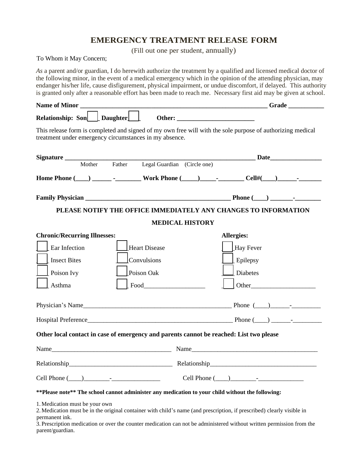#### **EMERGENCY TREATMENT RELEASE FORM**

(Fill out one per student, annually)

To Whom it May Concern;

*As* a parent and/or guardian, I do herewith authorize the treatment by a qualified and licensed medical doctor of the following minor, in the event of a medical emergency which in the opinion of the attending physician, may endanger his/her life, cause disfigurement, physical impairment, or undue discomfort, if delayed. This authority is granted only after a reasonable effort has been made to reach me. Necessary first aid may be given at school.

| Relationship: Son Daughter                                                              |                                                                                                                        |  |  |  |  |
|-----------------------------------------------------------------------------------------|------------------------------------------------------------------------------------------------------------------------|--|--|--|--|
| treatment under emergency circumstances in my absence.                                  | This release form is completed and signed of my own free will with the sole purpose of authorizing medical             |  |  |  |  |
|                                                                                         |                                                                                                                        |  |  |  |  |
|                                                                                         |                                                                                                                        |  |  |  |  |
|                                                                                         |                                                                                                                        |  |  |  |  |
|                                                                                         |                                                                                                                        |  |  |  |  |
| PLEASE NOTIFY THE OFFICE IMMEDIATELY ANY CHANGES TO INFORMATION                         |                                                                                                                        |  |  |  |  |
| <b>MEDICAL HISTORY</b>                                                                  |                                                                                                                        |  |  |  |  |
| <b>Chronic/Recurring Illnesses:</b>                                                     | <b>Allergies:</b>                                                                                                      |  |  |  |  |
| Ear Infection<br><b>Heart Disease</b>                                                   | Hay Fever                                                                                                              |  |  |  |  |
| Insect Bites<br>Convulsions                                                             | Epilepsy                                                                                                               |  |  |  |  |
| Poison Ivy<br>Poison Oak                                                                | Diabetes                                                                                                               |  |  |  |  |
| Asthma                                                                                  | Food Food<br>Other                                                                                                     |  |  |  |  |
|                                                                                         | Physician's Name                                                                                                       |  |  |  |  |
|                                                                                         |                                                                                                                        |  |  |  |  |
| Other local contact in case of emergency and parents cannot be reached: List two please |                                                                                                                        |  |  |  |  |
|                                                                                         |                                                                                                                        |  |  |  |  |
| Relationship_                                                                           | Relationship                                                                                                           |  |  |  |  |
|                                                                                         | Cell Phone $(\_\_)$ $\_\_$                                                                                             |  |  |  |  |
|                                                                                         | ** Please note** The school cannot administer any medication to your child without the following:                      |  |  |  |  |
| 1. Medication must be your own<br>permanent ink.                                        | 2. Medication must be in the original container with child's name (and prescription, if prescribed) clearly visible in |  |  |  |  |

3. Prescription medication or over the counter medication can not be administered without written permission from the parent/guardian.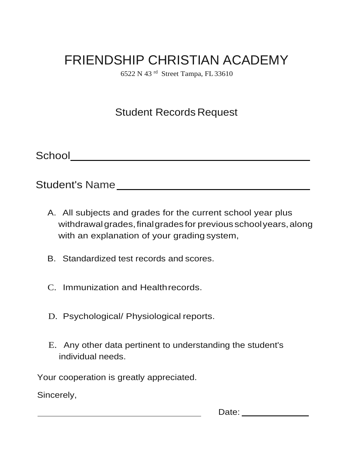## FRIENDSHIP CHRISTIAN ACADEMY

6522 N 43 rd Street Tampa, FL33610

### Student Records Request

School

Student's Name

- A. All subjects and grades for the current school year plus withdrawal grades, final grades for previous school years, along with an explanation of your grading system,
- B. Standardized test records and scores.
- C. Immunization and Healthrecords.
- D. Psychological/ Physiological reports.
- E. Any other data pertinent to understanding the student's individual needs.

Your cooperation is greatly appreciated.

Sincerely,

Date: <u>\_\_\_\_\_\_\_\_\_\_\_\_\_\_\_</u>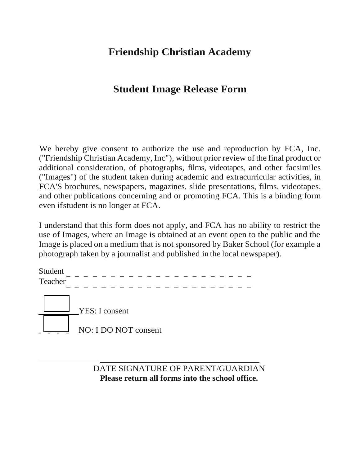#### **Friendship Christian Academy**

#### **Student Image Release Form**

We hereby give consent to authorize the use and reproduction by FCA, Inc. ("Friendship Christian Academy, Inc"), without prior review of the final product or additional consideration, of photographs, films, videotapes, and other facsimiles ("Images") of the student taken during academic and extracurricular activities, in FCA'S brochures, newspapers, magazines, slide presentations, films, videotapes, and other publications concerning and or promoting FCA. This is a binding form even ifstudent is no longer at FCA.

I understand that this form does not apply, and FCA has no ability to restrict the use of Images, where an Image is obtained at an event open to the public and the Image is placed on a medium that is not sponsored by Baker School (for example a photograph taken by a journalist and published in the local newspaper).

Teacher Student*- - - - - - - - - - - - - - - - - - - - - - - - - - - - - - - - - - - - - - - - - -* YES: I consent NO: I DO NOT consent

> DATE SIGNATURE OF PARENT/GUARDIAN **Please return all forms into the school office.**